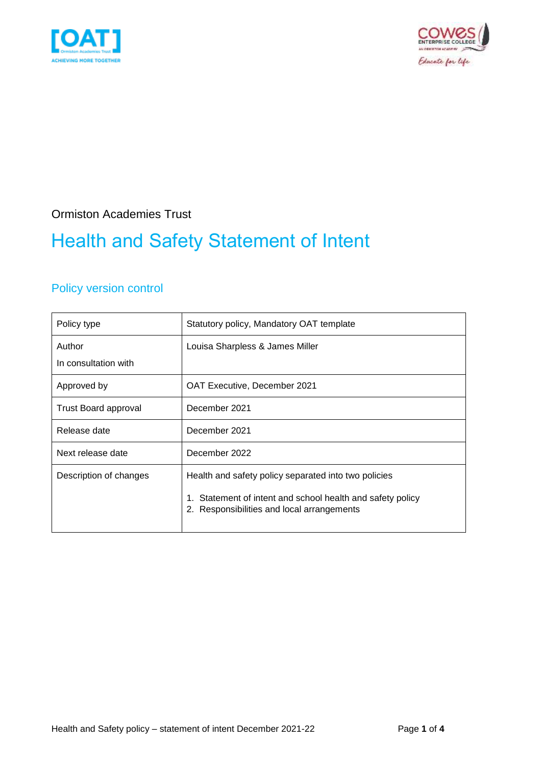



### Ormiston Academies Trust

## Health and Safety Statement of Intent

### Policy version control

| Policy type            | Statutory policy, Mandatory OAT template                                                              |  |
|------------------------|-------------------------------------------------------------------------------------------------------|--|
| Author                 | Louisa Sharpless & James Miller                                                                       |  |
| In consultation with   |                                                                                                       |  |
| Approved by            | OAT Executive, December 2021                                                                          |  |
| Trust Board approval   | December 2021                                                                                         |  |
| Release date           | December 2021                                                                                         |  |
| Next release date      | December 2022                                                                                         |  |
| Description of changes | Health and safety policy separated into two policies                                                  |  |
|                        | Statement of intent and school health and safety policy<br>2. Responsibilities and local arrangements |  |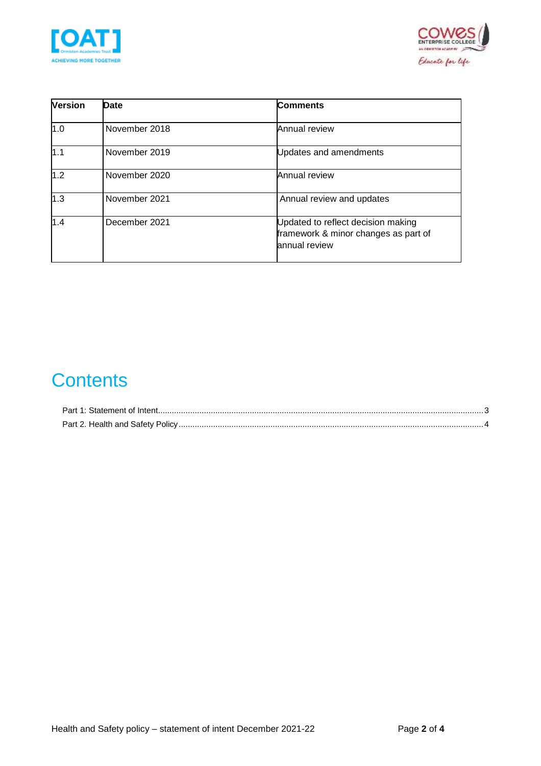



| <b>Version</b> | <b>Date</b>   | <b>Comments</b>                                                                             |
|----------------|---------------|---------------------------------------------------------------------------------------------|
| 1.0            | November 2018 | Annual review                                                                               |
| 1.1            | November 2019 | Updates and amendments                                                                      |
| 1.2            | November 2020 | Annual review                                                                               |
| 1.3            | November 2021 | Annual review and updates                                                                   |
| 1.4            | December 2021 | Updated to reflect decision making<br>framework & minor changes as part of<br>annual review |

## **Contents**

| Part 1: Statement of Intent |  |
|-----------------------------|--|
|                             |  |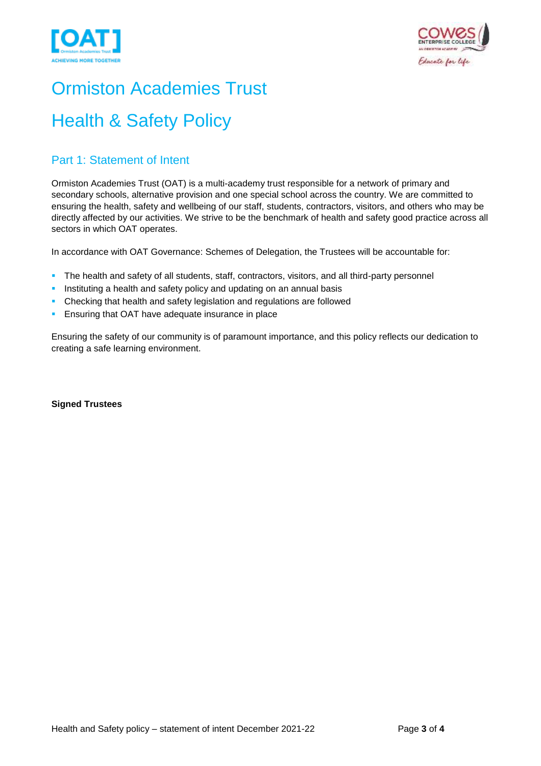



# Ormiston Academies Trust

## Health & Safety Policy

### <span id="page-2-0"></span>Part 1: Statement of Intent

Ormiston Academies Trust (OAT) is a multi-academy trust responsible for a network of primary and secondary schools, alternative provision and one special school across the country. We are committed to ensuring the health, safety and wellbeing of our staff, students, contractors, visitors, and others who may be directly affected by our activities. We strive to be the benchmark of health and safety good practice across all sectors in which OAT operates.

In accordance with OAT Governance: Schemes of Delegation, the Trustees will be accountable for:

- **•** The health and safety of all students, staff, contractors, visitors, and all third-party personnel
- **.** Instituting a health and safety policy and updating on an annual basis
- Checking that health and safety legislation and regulations are followed
- **Ensuring that OAT have adequate insurance in place**

Ensuring the safety of our community is of paramount importance, and this policy reflects our dedication to creating a safe learning environment.

**Signed Trustees**